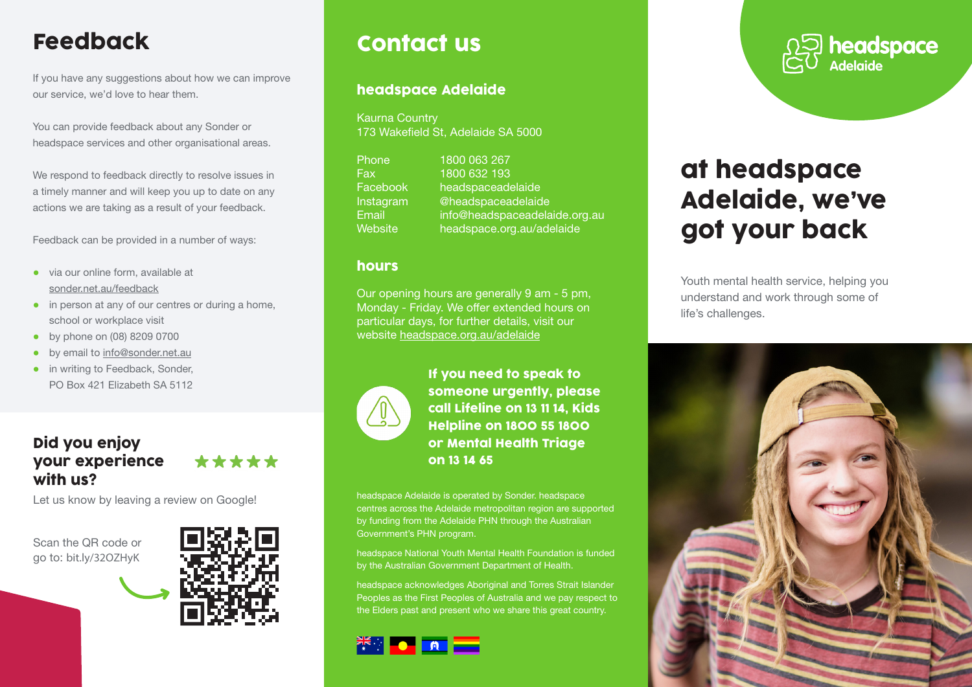# Feedback

If you have any suggestions about how we can improve our service, we'd love to hear them.

You can provide feedback about any Sonder or headspace services and other organisational areas.

We respond to feedback directly to resolve issues in a timely manner and will keep you up to date on any actions we are taking as a result of your feedback.

Feedback can be provided in a number of ways:

- via our online form, available at sonder.net.au/feedback
- in person at any of our centres or during a home, school or workplace visit
- by phone on (08) 8209 0700
- by email to info@sonder.net.au
- in writing to Feedback, Sonder, PO Box 421 Elizabeth SA 5112

### Did you enjoy your experience with us?

Let us know by leaving a review on Google!

Scan the QR code or go to: bit.ly/32OZHyK



\*\*\*\*\*

## Contact us

#### headspace Adelaide

Kaurna Country 173 Wakefield St, Adelaide SA 5000

Phone 1800 063 267 Fax 1800 632 193 Facebook [headspaceadelaide](http://www.facebook.com/headspaceadelaide) Instagram [@headspaceadelaide](https://www.instagram.com/headspaceadelaide) Email [info@headspaceadelaide.org.au](mailto:info@headspaceadelaide.org.au) Website [headspace.org.au/adelaide](https://headspace.org.au/headspace-centres/adelaide/)

#### hours

Our opening hours are generally 9 am - 5 pm, Monday - Friday. We offer extended hours on particular days, for further details, visit our website headspace.org.au/adelaide



If you need to speak to someone urgently, please call Lifeline on 13 11 14, Kids Helpline on 1800 55 1800 or Mental Health Triage on 13 14 65

headspace Adelaide is operated by Sonder. headspace centres across the Adelaide metropolitan region are supported by funding from the Adelaide PHN through the Australian Government's PHN program.

headspace National Youth Mental Health Foundation is funded by the Australian Government Department of Health.

headspace acknowledges Aboriginal and Torres Strait Islander Peoples as the First Peoples of Australia and we pay respect to the Elders past and present who we share this great country.





# at headspace Adelaide, we've got your back

Youth mental health service, helping you understand and work through some of life's challenges.